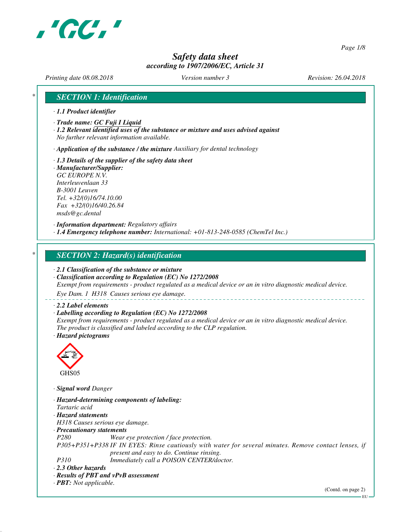

*Page 1/8*

# *Safety data sheet according to 1907/2006/EC, Article 31*

*Printing date 08.08.2018 Version number 3 Revision: 26.04.2018*

# *\* SECTION 1: Identification*

- *· 1.1 Product identifier*
- *· Trade name: GC Fuji I Liquid*
- *· 1.2 Relevant identified uses of the substance or mixture and uses advised against No further relevant information available.*

*· Application of the substance / the mixture Auxiliary for dental technology*

- *· 1.3 Details of the supplier of the safety data sheet*
- *· Manufacturer/Supplier: GC EUROPE N.V. Interleuvenlaan 33 B-3001 Leuven Tel. +32/(0)16/74.10.00 Fax +32/(0)16/40.26.84 msds@gc.dental*

*· Information department: Regulatory affairs · 1.4 Emergency telephone number: International: +01-813-248-0585 (ChemTel Inc.)*

## *\* SECTION 2: Hazard(s) identification*

*· 2.1 Classification of the substance or mixture*

*· Classification according to Regulation (EC) No 1272/2008 Exempt from requirements - product regulated as a medical device or an in vitro diagnostic medical device.*

*Eye Dam. 1 H318 Causes serious eye damage.*

#### *· 2.2 Label elements*

#### *· Labelling according to Regulation (EC) No 1272/2008*

*Exempt from requirements - product regulated as a medical device or an in vitro diagnostic medical device. The product is classified and labeled according to the CLP regulation. · Hazard pictograms*



*· Signal word Danger*

*· Hazard-determining components of labeling: Tartaric acid · Hazard statements H318 Causes serious eye damage. · Precautionary statements P280 Wear eye protection / face protection. P305+P351+P338 IF IN EYES: Rinse cautiously with water for several minutes. Remove contact lenses, if present and easy to do. Continue rinsing. P310 Immediately call a POISON CENTER/doctor. · 2.3 Other hazards · Results of PBT and vPvB assessment · PBT: Not applicable.*

(Contd. on page 2)

EU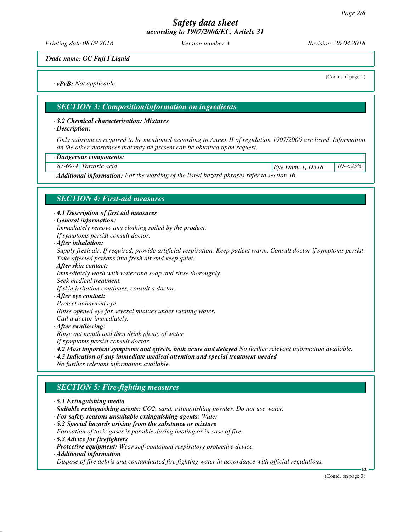*Printing date 08.08.2018 Version number 3 Revision: 26.04.2018*

*Trade name: GC Fuji I Liquid*

*· vPvB: Not applicable.*

(Contd. of page 1)

*SECTION 3: Composition/information on ingredients*

#### *· 3.2 Chemical characterization: Mixtures*

*· Description:*

*Only substances required to be mentioned according to Annex II of regulation 1907/2006 are listed. Information on the other substances that may be present can be obtained upon request.*

#### *· Dangerous components:*

*87-69-4 Tartaric acid Eye Dam. 1, H318 10-<25%*

*· Additional information: For the wording of the listed hazard phrases refer to section 16.*

## *SECTION 4: First-aid measures*

*· 4.1 Description of first aid measures*

*· General information:*

*Immediately remove any clothing soiled by the product.*

- *If symptoms persist consult doctor.*
- *· After inhalation:*

*Supply fresh air. If required, provide artificial respiration. Keep patient warm. Consult doctor if symptoms persist. Take affected persons into fresh air and keep quiet.*

- *· After skin contact: Immediately wash with water and soap and rinse thoroughly. Seek medical treatment. If skin irritation continues, consult a doctor.*
- *· After eye contact:*
- *Protect unharmed eye.*

*Rinse opened eye for several minutes under running water.*

- *Call a doctor immediately.*
- *· After swallowing:*

*Rinse out mouth and then drink plenty of water.*

- *If symptoms persist consult doctor.*
- *· 4.2 Most important symptoms and effects, both acute and delayed No further relevant information available.*
- *· 4.3 Indication of any immediate medical attention and special treatment needed*
- *No further relevant information available.*

## *SECTION 5: Fire-fighting measures*

- *· 5.1 Extinguishing media*
- *· Suitable extinguishing agents: CO2, sand, extinguishing powder. Do not use water.*
- *· For safety reasons unsuitable extinguishing agents: Water*
- *· 5.2 Special hazards arising from the substance or mixture Formation of toxic gases is possible during heating or in case of fire.*
- *· 5.3 Advice for firefighters*
- *· Protective equipment: Wear self-contained respiratory protective device.*
- *· Additional information*

*Dispose of fire debris and contaminated fire fighting water in accordance with official regulations.*

(Contd. on page 3)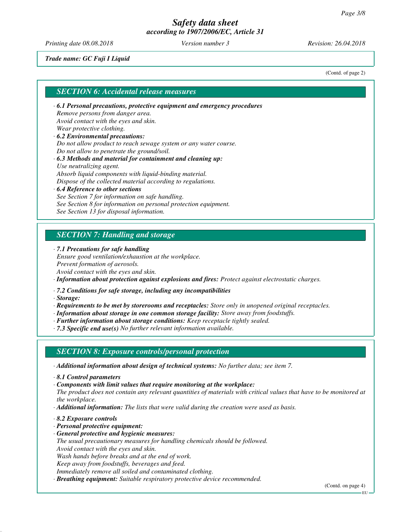*Printing date 08.08.2018 Version number 3 Revision: 26.04.2018*

*Trade name: GC Fuji I Liquid*

(Contd. of page 2)

#### *SECTION 6: Accidental release measures*

- *· 6.1 Personal precautions, protective equipment and emergency procedures Remove persons from danger area. Avoid contact with the eyes and skin. Wear protective clothing. · 6.2 Environmental precautions:*
- *Do not allow product to reach sewage system or any water course. Do not allow to penetrate the ground/soil.*
- *· 6.3 Methods and material for containment and cleaning up: Use neutralizing agent. Absorb liquid components with liquid-binding material. Dispose of the collected material according to regulations.*
- *· 6.4 Reference to other sections See Section 7 for information on safe handling. See Section 8 for information on personal protection equipment. See Section 13 for disposal information.*

# *SECTION 7: Handling and storage*

*· 7.1 Precautions for safe handling*

*Ensure good ventilation/exhaustion at the workplace. Prevent formation of aerosols. Avoid contact with the eyes and skin.*

*· Information about protection against explosions and fires: Protect against electrostatic charges.*

*· 7.2 Conditions for safe storage, including any incompatibilities*

*· Storage:*

- *· Requirements to be met by storerooms and receptacles: Store only in unopened original receptacles.*
- *· Information about storage in one common storage facility: Store away from foodstuffs.*
- *· Further information about storage conditions: Keep receptacle tightly sealed.*
- *· 7.3 Specific end use(s) No further relevant information available.*

## *SECTION 8: Exposure controls/personal protection*

*· Additional information about design of technical systems: No further data; see item 7.*

- *· 8.1 Control parameters*
- *· Components with limit values that require monitoring at the workplace:*
- *The product does not contain any relevant quantities of materials with critical values that have to be monitored at the workplace.*
- *· Additional information: The lists that were valid during the creation were used as basis.*
- *· 8.2 Exposure controls*
- *· Personal protective equipment:*
- *· General protective and hygienic measures:*
- *The usual precautionary measures for handling chemicals should be followed. Avoid contact with the eyes and skin.*
- *Wash hands before breaks and at the end of work.*
- *Keep away from foodstuffs, beverages and feed.*
- *Immediately remove all soiled and contaminated clothing.*
- *· Breathing equipment: Suitable respiratory protective device recommended.*

EU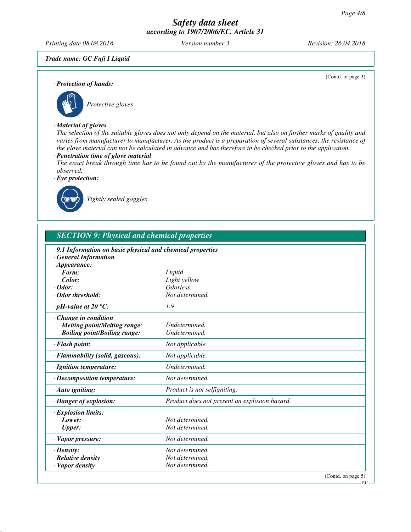*Printing date 08.08.2018 Version number 3 Revision: 26.04.2018*

(Contd. of page 3)

*Trade name: GC Fuji I Liquid*

*· Protection of hands:*



# *Protective gloves*

#### *· Material of gloves*

*The selection of the suitable gloves does not only depend on the material, but also on further marks of quality and varies from manufacturer to manufacturer. As the product is a preparation of several substances, the resistance of the glove material can not be calculated in advance and has therefore to be checked prior to the application.*

## *· Penetration time of glove material*

*The exact break through time has to be found out by the manufacturer of the protective gloves and has to be observed.*

*· Eye protection:*



*Tightly sealed goggles*

| <b>SECTION 9: Physical and chemical properties</b>                                                               |                                               |  |
|------------------------------------------------------------------------------------------------------------------|-----------------------------------------------|--|
| · 9.1 Information on basic physical and chemical properties<br><b>General Information</b><br>$\cdot$ Appearance: |                                               |  |
| Form:                                                                                                            | Liquid                                        |  |
| Color:                                                                                                           | Light yellow                                  |  |
| $\cdot$ Odor:                                                                                                    | <i><u><b>Odorless</b></u></i>                 |  |
| · Odor threshold:                                                                                                | Not determined.                               |  |
| $\cdot$ pH-value at 20 $\degree$ C:                                                                              | 1.9                                           |  |
| Change in condition                                                                                              |                                               |  |
| <b>Melting point/Melting range:</b>                                                                              | Undetermined.                                 |  |
| <b>Boiling point/Boiling range:</b>                                                                              | Undetermined.                                 |  |
| · Flash point:                                                                                                   | Not applicable.                               |  |
| · Flammability (solid, gaseous):                                                                                 | Not applicable.                               |  |
| · Ignition temperature:                                                                                          | Undetermined.                                 |  |
| $\cdot$ Decomposition temperature:                                                                               | Not determined.                               |  |
| · Auto igniting:                                                                                                 | Product is not selfigniting.                  |  |
| · Danger of explosion:                                                                                           | Product does not present an explosion hazard. |  |
| · Explosion limits:                                                                                              |                                               |  |
| Lower:                                                                                                           | Not determined.                               |  |
| <b>Upper:</b>                                                                                                    | Not determined.                               |  |
| · Vapor pressure:                                                                                                | Not determined.                               |  |
| $\cdot$ Density:                                                                                                 | Not determined.                               |  |
| $\cdot$ Relative density                                                                                         | Not determined.                               |  |
| · Vapor density                                                                                                  | Not determined.                               |  |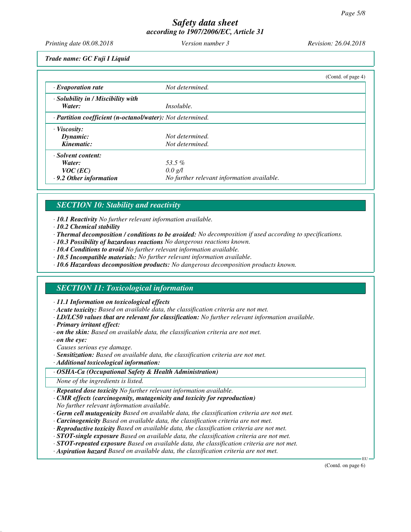*Printing date 08.08.2018 Version number 3 Revision: 26.04.2018*

*Trade name: GC Fuji I Liquid*

|                                                            |                                            | (Cond. of page 4) |
|------------------------------------------------------------|--------------------------------------------|-------------------|
| $\cdot$ Evaporation rate                                   | Not determined.                            |                   |
| $\cdot$ Solubility in / Miscibility with                   |                                            |                   |
| Water:                                                     | <i>Insoluble.</i>                          |                   |
| · Partition coefficient (n-octanol/water): Not determined. |                                            |                   |
| · Viscosity:                                               |                                            |                   |
| Dynamic:                                                   | Not determined.                            |                   |
| Kinematic:                                                 | Not determined.                            |                   |
| · Solvent content:                                         |                                            |                   |
| Water:                                                     | 53.5%                                      |                   |
| $VOC$ (EC)                                                 | $0.0 \text{ g/l}$                          |                   |
| $\cdot$ 9.2 Other information                              | No further relevant information available. |                   |

# *SECTION 10: Stability and reactivity*

*· 10.1 Reactivity No further relevant information available.*

- *· 10.2 Chemical stability*
- *· Thermal decomposition / conditions to be avoided: No decomposition if used according to specifications.*
- *· 10.3 Possibility of hazardous reactions No dangerous reactions known.*
- *· 10.4 Conditions to avoid No further relevant information available.*
- *· 10.5 Incompatible materials: No further relevant information available.*
- *· 10.6 Hazardous decomposition products: No dangerous decomposition products known.*

# *SECTION 11: Toxicological information*

*· 11.1 Information on toxicological effects*

- *· Acute toxicity: Based on available data, the classification criteria are not met.*
- *· LD/LC50 values that are relevant for classification: No further relevant information available.*
- *· Primary irritant effect:*
- *· on the skin: Based on available data, the classification criteria are not met.*
- *· on the eye:*

*Causes serious eye damage.*

- *· Sensitization: Based on available data, the classification criteria are not met.*
- *· Additional toxicological information:*

## *· OSHA-Ca (Occupational Safety & Health Administration)*

*None of the ingredients is listed.*

*· Repeated dose toxicity No further relevant information available.*

- *· CMR effects (carcinogenity, mutagenicity and toxicity for reproduction) No further relevant information available.*
- *· Germ cell mutagenicity Based on available data, the classification criteria are not met.*
- *· Carcinogenicity Based on available data, the classification criteria are not met.*
- *· Reproductive toxicity Based on available data, the classification criteria are not met.*
- *· STOT-single exposure Based on available data, the classification criteria are not met.*
- *· STOT-repeated exposure Based on available data, the classification criteria are not met.*
- *· Aspiration hazard Based on available data, the classification criteria are not met.*

(Contd. on page 6)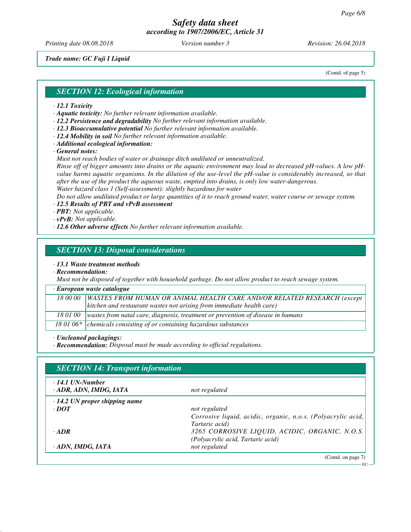*Printing date 08.08.2018 Version number 3 Revision: 26.04.2018*

*Trade name: GC Fuji I Liquid*

(Contd. of page 5)

#### *SECTION 12: Ecological information*

- *· 12.1 Toxicity*
- *· Aquatic toxicity: No further relevant information available.*
- *· 12.2 Persistence and degradability No further relevant information available.*
- *· 12.3 Bioaccumulative potential No further relevant information available.*
- *· 12.4 Mobility in soil No further relevant information available.*
- *· Additional ecological information:*

*· General notes:*

*Must not reach bodies of water or drainage ditch undiluted or unneutralized.*

*Rinse off of bigger amounts into drains or the aquatic environment may lead to decreased pH-values. A low pHvalue harms aquatic organisms. In the dilution of the use-level the pH-value is considerably increased, so that after the use of the product the aqueous waste, emptied into drains, is only low water-dangerous. Water hazard class 1 (Self-assessment): slightly hazardous for water*

*Do not allow undiluted product or large quantities of it to reach ground water, water course or sewage system.*

*· 12.5 Results of PBT and vPvB assessment*

- *· PBT: Not applicable.*
- *· vPvB: Not applicable.*
- *· 12.6 Other adverse effects No further relevant information available.*

## *SECTION 13: Disposal considerations*

*· 13.1 Waste treatment methods*

*· Recommendation:*

*Must not be disposed of together with household garbage. Do not allow product to reach sewage system.*

#### *· European waste catalogue*

| 18 00 00 | WASTES FROM HUMAN OR ANIMAL HEALTH CARE AND/OR RELATED RESEARCH (except<br>  kitchen and restaurant wastes not arising from immediate health care) |
|----------|----------------------------------------------------------------------------------------------------------------------------------------------------|
|          | 18 01 00   wastes from natal care, diagnosis, treatment or prevention of disease in humans                                                         |
|          | 18 01 06 $*$ chemicals consisting of or containing hazardous substances                                                                            |

*· Uncleaned packagings:*

*· Recommendation: Disposal must be made according to official regulations.*

| $\cdot$ 14.1 UN-Number<br>ADR, ADN, IMDG, IATA | not regulated                                                |
|------------------------------------------------|--------------------------------------------------------------|
| $\cdot$ 14.2 UN proper shipping name           |                                                              |
| $\cdot$ <i>DOT</i>                             | not regulated                                                |
|                                                | Corrosive liquid, acidic, organic, n.o.s. (Polyacrylic acid, |
|                                                | Tartaric acid)                                               |
| $-ADR$                                         | 3265 CORROSIVE LIQUID, ACIDIC, ORGANIC, N.O.S.               |
|                                                | (Polyacrylic acid, Tartaric acid)                            |
| · ADN, IMDG, IATA                              | not regulated                                                |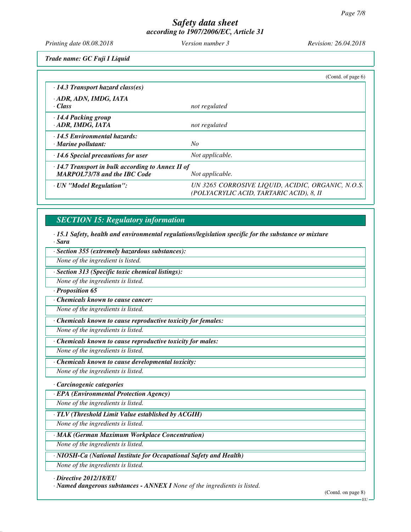*Printing date 08.08.2018 Version number 3 Revision: 26.04.2018*

*Trade name: GC Fuji I Liquid*

|                                                                                                | (Contd. of page $6$ )                                                                         |
|------------------------------------------------------------------------------------------------|-----------------------------------------------------------------------------------------------|
| $\cdot$ 14.3 Transport hazard class(es)                                                        |                                                                                               |
| · ADR, ADN, IMDG, IATA<br>· Class                                                              | not regulated                                                                                 |
| · 14.4 Packing group<br>· ADR, IMDG, IATA                                                      | not regulated                                                                                 |
| · 14.5 Environmental hazards:<br>$\cdot$ Marine pollutant:                                     | No                                                                                            |
| $\cdot$ 14.6 Special precautions for user                                                      | Not applicable.                                                                               |
| $\cdot$ 14.7 Transport in bulk according to Annex II of<br><b>MARPOL73/78 and the IBC Code</b> | Not applicable.                                                                               |
| · UN "Model Regulation":                                                                       | UN 3265 CORROSIVE LIQUID, ACIDIC, ORGANIC, N.O.S.<br>(POLYACRYLIC ACID, TARTARIC ACID), 8, II |

# *SECTION 15: Regulatory information*

*· 15.1 Safety, health and environmental regulations/legislation specific for the substance or mixture · Sara*

| · Section 355 (extremely hazardous substances):                    |
|--------------------------------------------------------------------|
| None of the ingredient is listed.                                  |
| · Section 313 (Specific toxic chemical listings):                  |
| None of the ingredients is listed.                                 |
| Proposition 65                                                     |
| Chemicals known to cause cancer:                                   |
| None of the ingredients is listed.                                 |
| Chemicals known to cause reproductive toxicity for females:        |
| None of the ingredients is listed.                                 |
| Chemicals known to cause reproductive toxicity for males:          |
| None of the ingredients is listed.                                 |
| Chemicals known to cause developmental toxicity:                   |
| None of the ingredients is listed.                                 |
| · Carcinogenic categories                                          |
| · EPA (Environmental Protection Agency)                            |
| None of the ingredients is listed.                                 |
| $\cdot$ TLV (Threshold Limit Value established by ACGIH)           |
| None of the ingredients is listed.                                 |
| · MAK (German Maximum Workplace Concentration)                     |
| None of the ingredients is listed.                                 |
| · NIOSH-Ca (National Institute for Occupational Safety and Health) |
| None of the ingredients is listed.                                 |

*· Directive 2012/18/EU*

*· Named dangerous substances - ANNEX I None of the ingredients is listed.*

(Contd. on page 8)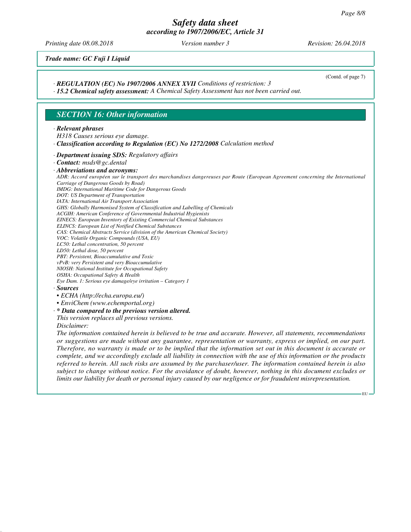*Printing date 08.08.2018 Version number 3 Revision: 26.04.2018*

(Contd. of page 7)

*Trade name: GC Fuji I Liquid*

#### *· REGULATION (EC) No 1907/2006 ANNEX XVII Conditions of restriction: 3*

*· 15.2 Chemical safety assessment: A Chemical Safety Assessment has not been carried out.*

## *SECTION 16: Other information*

#### *· Relevant phrases*

*H318 Causes serious eye damage.*

#### *· Classification according to Regulation (EC) No 1272/2008 Calculation method*

- *· Department issuing SDS: Regulatory affairs*
- *· Contact: msds@gc.dental*

*· Abbreviations and acronyms:*

*ADR: Accord européen sur le transport des marchandises dangereuses par Route (European Agreement concerning the International Carriage of Dangerous Goods by Road)*

*IMDG: International Maritime Code for Dangerous Goods*

*DOT: US Department of Transportation*

*IATA: International Air Transport Association*

*GHS: Globally Harmonised System of Classification and Labelling of Chemicals*

*ACGIH: American Conference of Governmental Industrial Hygienists*

*EINECS: European Inventory of Existing Commercial Chemical Substances ELINCS: European List of Notified Chemical Substances*

*CAS: Chemical Abstracts Service (division of the American Chemical Society) VOC: Volatile Organic Compounds (USA, EU)*

*LC50: Lethal concentration, 50 percent*

*LD50: Lethal dose, 50 percent*

*PBT: Persistent, Bioaccumulative and Toxic*

*vPvB: very Persistent and very Bioaccumulative*

*NIOSH: National Institute for Occupational Safety*

*OSHA: Occupational Safety & Health*

*Eye Dam. 1: Serious eye damage/eye irritation – Category 1*

*· Sources*

*• ECHA (http://echa.europa.eu/)*

*• EnviChem (www.echemportal.org)*

*· \* Data compared to the previous version altered.*

*This version replaces all previous versions.*

*Disclaimer:*

*The information contained herein is believed to be true and accurate. However, all statements, recommendations or suggestions are made without any guarantee, representation or warranty, express or implied, on our part. Therefore, no warranty is made or to be implied that the information set out in this document is accurate or complete, and we accordingly exclude all liability in connection with the use of this information or the products referred to herein. All such risks are assumed by the purchaser/user. The information contained herein is also subject to change without notice. For the avoidance of doubt, however, nothing in this document excludes or limits our liability for death or personal injury caused by our negligence or for fraudulent misrepresentation.*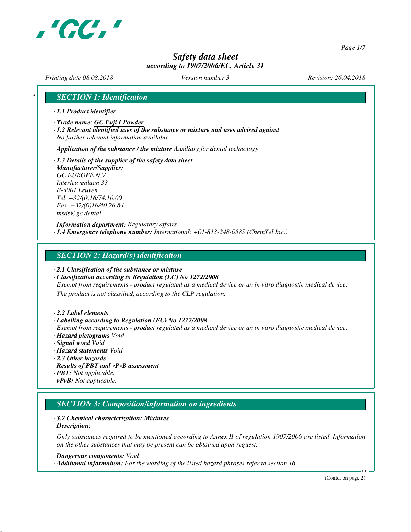

*Page 1/7*

# *Safety data sheet according to 1907/2006/EC, Article 31*

*Printing date 08.08.2018 Version number 3 Revision: 26.04.2018*

# *\* SECTION 1: Identification*

- *· 1.1 Product identifier*
- *· Trade name: GC Fuji I Powder*
- *· 1.2 Relevant identified uses of the substance or mixture and uses advised against No further relevant information available.*

*· Application of the substance / the mixture Auxiliary for dental technology*

- *· 1.3 Details of the supplier of the safety data sheet*
- *· Manufacturer/Supplier: GC EUROPE N.V. Interleuvenlaan 33 B-3001 Leuven Tel. +32/(0)16/74.10.00 Fax +32/(0)16/40.26.84 msds@gc.dental*

*· Information department: Regulatory affairs · 1.4 Emergency telephone number: International: +01-813-248-0585 (ChemTel Inc.)*

#### *SECTION 2: Hazard(s) identification*

- *· 2.1 Classification of the substance or mixture*
- *· Classification according to Regulation (EC) No 1272/2008*

*Exempt from requirements - product regulated as a medical device or an in vitro diagnostic medical device.*

*The product is not classified, according to the CLP regulation.*

#### *· 2.2 Label elements*

#### *· Labelling according to Regulation (EC) No 1272/2008*

*Exempt from requirements - product regulated as a medical device or an in vitro diagnostic medical device. · Hazard pictograms Void*

- *· Signal word Void*
- *· Hazard statements Void*
- *· 2.3 Other hazards*
- *· Results of PBT and vPvB assessment*
- *· PBT: Not applicable.*
- *· vPvB: Not applicable.*

# *SECTION 3: Composition/information on ingredients*

#### *· 3.2 Chemical characterization: Mixtures*

*· Description:*

*Only substances required to be mentioned according to Annex II of regulation 1907/2006 are listed. Information on the other substances that may be present can be obtained upon request.*

*· Dangerous components: Void*

*· Additional information: For the wording of the listed hazard phrases refer to section 16.*

(Contd. on page 2)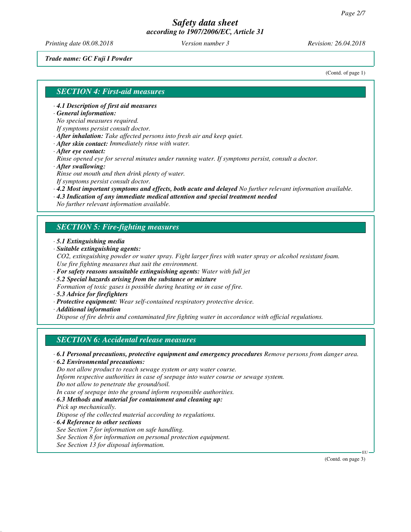*Printing date 08.08.2018 Version number 3 Revision: 26.04.2018*

*Trade name: GC Fuji I Powder*

(Contd. of page 1)

## *SECTION 4: First-aid measures*

*· 4.1 Description of first aid measures*

*· General information:*

*No special measures required.*

*If symptoms persist consult doctor.*

*· After inhalation: Take affected persons into fresh air and keep quiet.*

- *· After skin contact: Immediately rinse with water.*
- *· After eye contact:*

*Rinse opened eye for several minutes under running water. If symptoms persist, consult a doctor. · After swallowing:*

*Rinse out mouth and then drink plenty of water.*

*If symptoms persist consult doctor.*

- *· 4.2 Most important symptoms and effects, both acute and delayed No further relevant information available.*
- *· 4.3 Indication of any immediate medical attention and special treatment needed*

*No further relevant information available.*

## *SECTION 5: Fire-fighting measures*

- *· 5.1 Extinguishing media*
- *· Suitable extinguishing agents:*
- *CO2, extinguishing powder or water spray. Fight larger fires with water spray or alcohol resistant foam. Use fire fighting measures that suit the environment.*
- *· For safety reasons unsuitable extinguishing agents: Water with full jet*
- *· 5.2 Special hazards arising from the substance or mixture*
- *Formation of toxic gases is possible during heating or in case of fire.*
- *· 5.3 Advice for firefighters*
- *· Protective equipment: Wear self-contained respiratory protective device.*
- *· Additional information*

*Dispose of fire debris and contaminated fire fighting water in accordance with official regulations.*

## *SECTION 6: Accidental release measures*

*· 6.1 Personal precautions, protective equipment and emergency procedures Remove persons from danger area.*

*· 6.2 Environmental precautions:*

*Do not allow product to reach sewage system or any water course.*

*Inform respective authorities in case of seepage into water course or sewage system.*

*Do not allow to penetrate the ground/soil.*

*In case of seepage into the ground inform responsible authorities.*

*· 6.3 Methods and material for containment and cleaning up:*

- *Pick up mechanically. Dispose of the collected material according to regulations.*
- *· 6.4 Reference to other sections See Section 7 for information on safe handling. See Section 8 for information on personal protection equipment. See Section 13 for disposal information.*

(Contd. on page 3)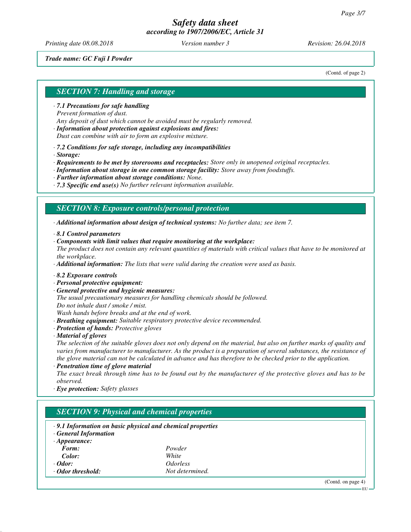*Printing date 08.08.2018 Version number 3 Revision: 26.04.2018*

#### *Trade name: GC Fuji I Powder*

(Contd. of page 2)

## *SECTION 7: Handling and storage*

*· 7.1 Precautions for safe handling Prevent formation of dust. Any deposit of dust which cannot be avoided must be regularly removed.*

*· Information about protection against explosions and fires: Dust can combine with air to form an explosive mixture.*

*· 7.2 Conditions for safe storage, including any incompatibilities*

*· Storage:*

*· Requirements to be met by storerooms and receptacles: Store only in unopened original receptacles.*

*· Information about storage in one common storage facility: Store away from foodstuffs.*

*· Further information about storage conditions: None.*

*· 7.3 Specific end use(s) No further relevant information available.*

## *SECTION 8: Exposure controls/personal protection*

*· Additional information about design of technical systems: No further data; see item 7.*

*· 8.1 Control parameters*

*· Components with limit values that require monitoring at the workplace:*

*The product does not contain any relevant quantities of materials with critical values that have to be monitored at the workplace.*

*· Additional information: The lists that were valid during the creation were used as basis.*

- *· 8.2 Exposure controls*
- *· Personal protective equipment:*
- *· General protective and hygienic measures:*

*The usual precautionary measures for handling chemicals should be followed. Do not inhale dust / smoke / mist.*

*Wash hands before breaks and at the end of work.*

- *· Breathing equipment: Suitable respiratory protective device recommended.*
- *· Protection of hands: Protective gloves*

*· Material of gloves*

*The selection of the suitable gloves does not only depend on the material, but also on further marks of quality and varies from manufacturer to manufacturer. As the product is a preparation of several substances, the resistance of the glove material can not be calculated in advance and has therefore to be checked prior to the application.*

*· Penetration time of glove material*

*The exact break through time has to be found out by the manufacturer of the protective gloves and has to be observed.*

*· Eye protection: Safety glasses*

# *SECTION 9: Physical and chemical properties*

- *· 9.1 Information on basic physical and chemical properties*
- *· General Information*

| $\cdot$ Appearance:     |                        |
|-------------------------|------------------------|
| Form:                   | Powder                 |
| Color:                  | White                  |
| $\cdot$ Odor:           | <i><b>Odorless</b></i> |
| $\cdot$ Odor threshold: | Not determined.        |

(Contd. on page 4)

EU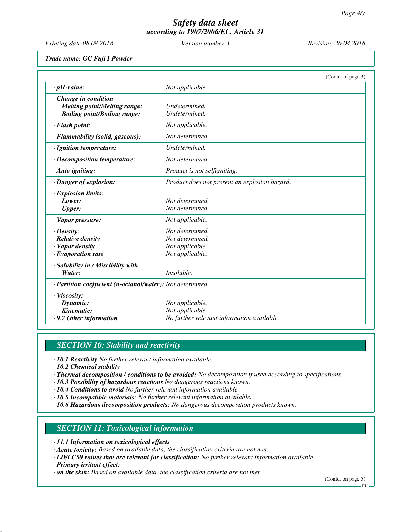*Printing date 08.08.2018 Version number 3 Revision: 26.04.2018*

*Trade name: GC Fuji I Powder*

|                                                            |                                               | (Contd. of page 3) |
|------------------------------------------------------------|-----------------------------------------------|--------------------|
| $\cdot$ pH-value:                                          | Not applicable.                               |                    |
| $\cdot$ Change in condition                                |                                               |                    |
| <b>Melting point/Melting range:</b>                        | Undetermined.                                 |                    |
| <b>Boiling point/Boiling range:</b>                        | Undetermined.                                 |                    |
| · Flash point:                                             | Not applicable.                               |                    |
| · Flammability (solid, gaseous):                           | Not determined.                               |                    |
| · Ignition temperature:                                    | Undetermined.                                 |                    |
| · Decomposition temperature:                               | Not determined.                               |                    |
| · Auto igniting:                                           | Product is not selfigniting.                  |                    |
| · Danger of explosion:                                     | Product does not present an explosion hazard. |                    |
| · Explosion limits:                                        |                                               |                    |
| Lower:                                                     | Not determined.                               |                    |
| <b>Upper:</b>                                              | Not determined.                               |                    |
| $\cdot$ Vapor pressure:                                    | Not applicable.                               |                    |
| $\cdot$ Density:                                           | Not determined.                               |                    |
| · Relative density                                         | Not determined.                               |                    |
| · Vapor density                                            | Not applicable.                               |                    |
| $\cdot$ Evaporation rate                                   | Not applicable.                               |                    |
| · Solubility in / Miscibility with                         |                                               |                    |
| Water:                                                     | <i>Insoluble.</i>                             |                    |
| · Partition coefficient (n-octanol/water): Not determined. |                                               |                    |
| · Viscosity:                                               |                                               |                    |
| Dynamic:                                                   | Not applicable.                               |                    |
| Kinematic:                                                 | Not applicable.                               |                    |
| .9.2 Other information                                     | No further relevant information available.    |                    |

# *SECTION 10: Stability and reactivity*

*· 10.1 Reactivity No further relevant information available.*

*· 10.2 Chemical stability*

- *· Thermal decomposition / conditions to be avoided: No decomposition if used according to specifications.*
- *· 10.3 Possibility of hazardous reactions No dangerous reactions known.*
- *· 10.4 Conditions to avoid No further relevant information available.*
- *· 10.5 Incompatible materials: No further relevant information available.*
- *· 10.6 Hazardous decomposition products: No dangerous decomposition products known.*

# *SECTION 11: Toxicological information*

- *· 11.1 Information on toxicological effects*
- *· Acute toxicity: Based on available data, the classification criteria are not met.*
- *· LD/LC50 values that are relevant for classification: No further relevant information available.*
- *· Primary irritant effect:*
- *· on the skin: Based on available data, the classification criteria are not met.*

(Contd. on page 5) EU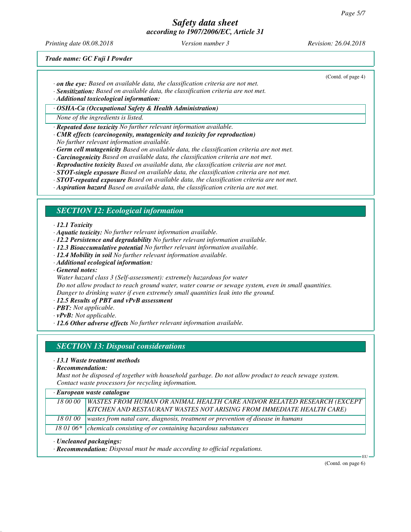*Printing date 08.08.2018 Version number 3 Revision: 26.04.2018*

(Contd. of page 4)

*Trade name: GC Fuji I Powder*

- *· on the eye: Based on available data, the classification criteria are not met.*
- *· Sensitization: Based on available data, the classification criteria are not met.*

*· Additional toxicological information:*

*· OSHA-Ca (Occupational Safety & Health Administration)*

*None of the ingredients is listed.*

*· Repeated dose toxicity No further relevant information available.*

- *· CMR effects (carcinogenity, mutagenicity and toxicity for reproduction) No further relevant information available.*
- *· Germ cell mutagenicity Based on available data, the classification criteria are not met.*
- *· Carcinogenicity Based on available data, the classification criteria are not met.*
- *· Reproductive toxicity Based on available data, the classification criteria are not met.*
- *· STOT-single exposure Based on available data, the classification criteria are not met.*
- *· STOT-repeated exposure Based on available data, the classification criteria are not met.*
- *· Aspiration hazard Based on available data, the classification criteria are not met.*

## *SECTION 12: Ecological information*

*· 12.1 Toxicity*

- *· Aquatic toxicity: No further relevant information available.*
- *· 12.2 Persistence and degradability No further relevant information available.*
- *· 12.3 Bioaccumulative potential No further relevant information available.*
- *· 12.4 Mobility in soil No further relevant information available.*
- *· Additional ecological information:*

*· General notes:*

*Water hazard class 3 (Self-assessment): extremely hazardous for water*

*Do not allow product to reach ground water, water course or sewage system, even in small quantities. Danger to drinking water if even extremely small quantities leak into the ground.*

- *· 12.5 Results of PBT and vPvB assessment*
- *· PBT: Not applicable.*
- *· vPvB: Not applicable.*
- *· 12.6 Other adverse effects No further relevant information available.*

## *SECTION 13: Disposal considerations*

#### *· 13.1 Waste treatment methods*

*· Recommendation:*

*Must not be disposed of together with household garbage. Do not allow product to reach sewage system. Contact waste processors for recycling information.*

| · European waste catalogue |  |  |  |
|----------------------------|--|--|--|
|----------------------------|--|--|--|

| 18 00 00 WASTES FROM HUMAN OR ANIMAL HEALTH CARE AND/OR RELATED RESEARCH (EXCEPT<br>KITCHEN AND RESTAURANT WASTES NOT ARISING FROM IMMEDIATE HEALTH CARE) |
|-----------------------------------------------------------------------------------------------------------------------------------------------------------|
| 18 01 00   wastes from natal care, diagnosis, treatment or prevention of disease in humans                                                                |
| 18 01 06* chemicals consisting of or containing hazardous substances                                                                                      |

#### *· Uncleaned packagings:*

*· Recommendation: Disposal must be made according to official regulations.*

(Contd. on page 6)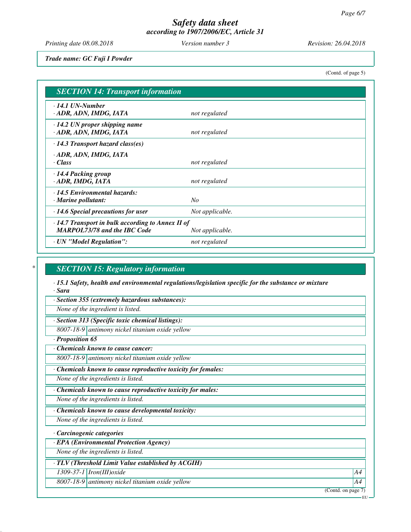*Printing date 08.08.2018 Version number 3 Revision: 26.04.2018*

*Trade name: GC Fuji I Powder*

(Contd. of page 5)

| <b>SECTION 14: Transport information</b>                                                       |                 |
|------------------------------------------------------------------------------------------------|-----------------|
| $\cdot$ 14.1 UN-Number<br>· ADR, ADN, IMDG, IATA                                               | not regulated   |
| $\cdot$ 14.2 UN proper shipping name<br>· ADR, ADN, IMDG, IATA                                 | not regulated   |
| $\cdot$ 14.3 Transport hazard class(es)                                                        |                 |
| · ADR, ADN, IMDG, IATA<br>· Class                                                              | not regulated   |
| · 14.4 Packing group<br>· ADR, IMDG, IATA                                                      | not regulated   |
| $\cdot$ 14.5 Environmental hazards:<br>· Marine pollutant:                                     | N <sub>O</sub>  |
| $\cdot$ 14.6 Special precautions for user                                                      | Not applicable. |
| $\cdot$ 14.7 Transport in bulk according to Annex II of<br><b>MARPOL73/78 and the IBC Code</b> | Not applicable. |
| · UN "Model Regulation":                                                                       | not regulated   |

## *\* SECTION 15: Regulatory information*

*· 15.1 Safety, health and environmental regulations/legislation specific for the substance or mixture · Sara*

*· Section 355 (extremely hazardous substances):*

*None of the ingredient is listed.*

*· Section 313 (Specific toxic chemical listings):*

*8007-18-9 antimony nickel titanium oxide yellow*

*· Proposition 65*

*· Chemicals known to cause cancer:*

*8007-18-9 antimony nickel titanium oxide yellow*

*· Chemicals known to cause reproductive toxicity for females:*

*None of the ingredients is listed.*

*· Chemicals known to cause reproductive toxicity for males:*

*None of the ingredients is listed.*

*· Chemicals known to cause developmental toxicity:*

*None of the ingredients is listed.*

*· Carcinogenic categories*

*· EPA (Environmental Protection Agency)*

*None of the ingredients is listed.*

*· TLV (Threshold Limit Value established by ACGIH)*

*1309-37-1 Iron(III)oxide A4*

*8007-18-9 antimony nickel titanium oxide yellow A4*

(Contd. on page 7)

EU